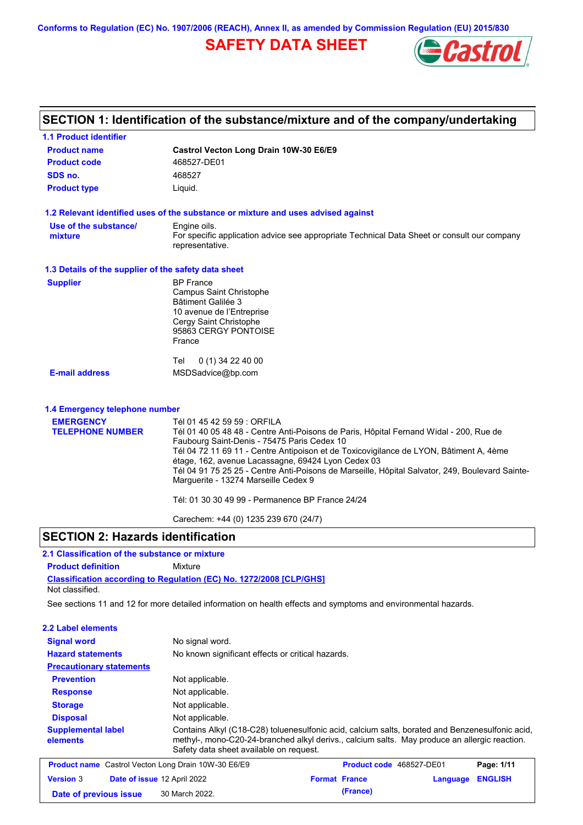**Conforms to Regulation (EC) No. 1907/2006 (REACH), Annex II, as amended by Commission Regulation (EU) 2015/830**

# **SAFETY DATA SHEET**



# **SECTION 1: Identification of the substance/mixture and of the company/undertaking**

| <b>1.1 Product identifier</b>                        |                                                                                                                                                                                                                                                                                                                                                                                                                                                                 |
|------------------------------------------------------|-----------------------------------------------------------------------------------------------------------------------------------------------------------------------------------------------------------------------------------------------------------------------------------------------------------------------------------------------------------------------------------------------------------------------------------------------------------------|
| <b>Product name</b>                                  | Castrol Vecton Long Drain 10W-30 E6/E9                                                                                                                                                                                                                                                                                                                                                                                                                          |
| <b>Product code</b>                                  | 468527-DE01                                                                                                                                                                                                                                                                                                                                                                                                                                                     |
| SDS no.                                              | 468527                                                                                                                                                                                                                                                                                                                                                                                                                                                          |
| <b>Product type</b>                                  | Liquid.                                                                                                                                                                                                                                                                                                                                                                                                                                                         |
|                                                      | 1.2 Relevant identified uses of the substance or mixture and uses advised against                                                                                                                                                                                                                                                                                                                                                                               |
| Use of the substance/<br>mixture                     | Engine oils.<br>For specific application advice see appropriate Technical Data Sheet or consult our company<br>representative.                                                                                                                                                                                                                                                                                                                                  |
| 1.3 Details of the supplier of the safety data sheet |                                                                                                                                                                                                                                                                                                                                                                                                                                                                 |
| <b>Supplier</b>                                      | <b>BP</b> France<br><b>Campus Saint Christophe</b><br>Bâtiment Galilée 3<br>10 avenue de l'Entreprise<br>Cergy Saint Christophe<br>95863 CERGY PONTOISE<br>France                                                                                                                                                                                                                                                                                               |
|                                                      | 0 (1) 34 22 40 00<br>Tel                                                                                                                                                                                                                                                                                                                                                                                                                                        |
| <b>E-mail address</b>                                | MSDSadvice@bp.com                                                                                                                                                                                                                                                                                                                                                                                                                                               |
| 1.4 Emergency telephone number                       |                                                                                                                                                                                                                                                                                                                                                                                                                                                                 |
| <b>EMERGENCY</b><br><b>TELEPHONE NUMBER</b>          | Tél 01 45 42 59 59 : ORFILA<br>Tél 01 40 05 48 48 - Centre Anti-Poisons de Paris, Hôpital Fernand Widal - 200, Rue de<br>Faubourg Saint-Denis - 75475 Paris Cedex 10<br>Tél 04 72 11 69 11 - Centre Antipoison et de Toxicovigilance de LYON, Bâtiment A, 4ème<br>étage, 162, avenue Lacassagne, 69424 Lyon Cedex 03<br>Tél 04 91 75 25 25 - Centre Anti-Poisons de Marseille, Hôpital Salvator, 249, Boulevard Sainte-<br>Marguerite - 13274 Marseille Cedex 9 |
|                                                      | Tél: 01 30 30 49 99 - Permanence BP France 24/24                                                                                                                                                                                                                                                                                                                                                                                                                |
|                                                      | Carechem: +44 (0) 1235 239 670 (24/7)                                                                                                                                                                                                                                                                                                                                                                                                                           |

## **SECTION 2: Hazards identification**

## **2.1 Classification of the substance or mixture**

**Product definition** Mixture

**Classification according to Regulation (EC) No. 1272/2008 [CLP/GHS]** Not classified.

**Date of previous issue (France)** 30 March 2022.

See sections 11 and 12 for more detailed information on health effects and symptoms and environmental hazards.

### **2.2 Label elements**

| 4.4 самы ыспеніз                      |                                                                                                                                                                                                                                             |
|---------------------------------------|---------------------------------------------------------------------------------------------------------------------------------------------------------------------------------------------------------------------------------------------|
| <b>Signal word</b>                    | No signal word.                                                                                                                                                                                                                             |
| <b>Hazard statements</b>              | No known significant effects or critical hazards.                                                                                                                                                                                           |
| <b>Precautionary statements</b>       |                                                                                                                                                                                                                                             |
| <b>Prevention</b>                     | Not applicable.                                                                                                                                                                                                                             |
| <b>Response</b>                       | Not applicable.                                                                                                                                                                                                                             |
| <b>Storage</b>                        | Not applicable.                                                                                                                                                                                                                             |
| <b>Disposal</b>                       | Not applicable.                                                                                                                                                                                                                             |
| <b>Supplemental label</b><br>elements | Contains Alkyl (C18-C28) toluenesulfonic acid, calcium salts, borated and Benzenesulfonic acid,<br>methyl-, mono-C20-24-branched alkyl derivs., calcium salts. May produce an allergic reaction.<br>Safety data sheet available on request. |
|                                       | <b>Product name</b> Castrol Vecton Long Drain 10W-30 E6/E9<br>Product code 468527-DE01<br>Page: 1/11                                                                                                                                        |
| <b>Version 3</b>                      | <b>ENGLISH</b><br>Date of issue 12 April 2022<br><b>Format France</b><br>Language                                                                                                                                                           |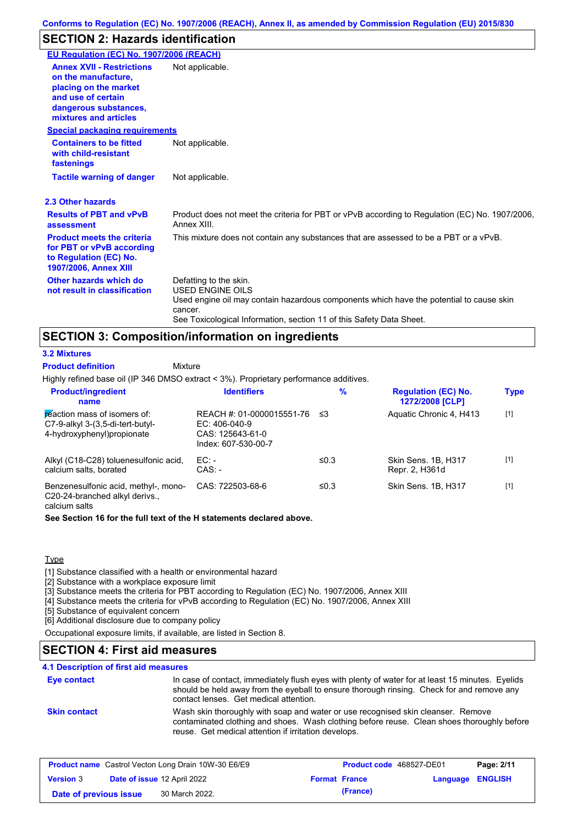# **SECTION 2: Hazards identification**

| EU Regulation (EC) No. 1907/2006 (REACH)                                                                                                                 |                                                                                                                                                                                                                                 |
|----------------------------------------------------------------------------------------------------------------------------------------------------------|---------------------------------------------------------------------------------------------------------------------------------------------------------------------------------------------------------------------------------|
| <b>Annex XVII - Restrictions</b><br>on the manufacture,<br>placing on the market<br>and use of certain<br>dangerous substances,<br>mixtures and articles | Not applicable.                                                                                                                                                                                                                 |
| <b>Special packaging requirements</b>                                                                                                                    |                                                                                                                                                                                                                                 |
| <b>Containers to be fitted</b><br>with child-resistant<br>fastenings                                                                                     | Not applicable.                                                                                                                                                                                                                 |
| <b>Tactile warning of danger</b>                                                                                                                         | Not applicable.                                                                                                                                                                                                                 |
| 2.3 Other hazards                                                                                                                                        |                                                                                                                                                                                                                                 |
| <b>Results of PBT and vPvB</b><br>assessment                                                                                                             | Product does not meet the criteria for PBT or vPvB according to Regulation (EC) No. 1907/2006,<br>Annex XIII.                                                                                                                   |
| <b>Product meets the criteria</b><br>for PBT or vPvB according<br>to Regulation (EC) No.<br><b>1907/2006, Annex XIII</b>                                 | This mixture does not contain any substances that are assessed to be a PBT or a vPvB.                                                                                                                                           |
| Other hazards which do<br>not result in classification                                                                                                   | Defatting to the skin.<br><b>USED ENGINE OILS</b><br>Used engine oil may contain hazardous components which have the potential to cause skin<br>cancer.<br>See Toxicological Information, section 11 of this Safety Data Sheet. |

## **SECTION 3: Composition/information on ingredients**

**Mixture** 

#### **3.2 Mixtures**

**Product definition**

Highly refined base oil (IP 346 DMSO extract < 3%). Proprietary performance additives.

| <b>Product/ingredient</b><br>name                                                               | <b>Identifiers</b>                                                                      | $\%$       | <b>Regulation (EC) No.</b><br>1272/2008 [CLP] | <b>Type</b> |
|-------------------------------------------------------------------------------------------------|-----------------------------------------------------------------------------------------|------------|-----------------------------------------------|-------------|
| reaction mass of isomers of:<br>C7-9-alkyl 3-(3,5-di-tert-butyl-<br>4-hydroxyphenyl) propionate | REACH #: 01-0000015551-76<br>$EC: 406-040-9$<br>CAS: 125643-61-0<br>Index: 607-530-00-7 | ≤3         | Aquatic Chronic 4, H413                       | $[1]$       |
| Alkyl (C18-C28) toluenesulfonic acid,<br>calcium salts, borated                                 | $EC:$ -<br>$CAS: -$                                                                     | $\leq 0.3$ | Skin Sens. 1B, H317<br>Repr. 2, H361d         | $[1]$       |
| Benzenesulfonic acid, methyl-, mono-<br>C20-24-branched alkyl derivs.,<br>calcium salts         | CAS: 722503-68-6                                                                        | $\leq 0.3$ | Skin Sens, 1B, H317                           | $[1]$       |

**See Section 16 for the full text of the H statements declared above.**

### **Type**

[1] Substance classified with a health or environmental hazard

[2] Substance with a workplace exposure limit

[3] Substance meets the criteria for PBT according to Regulation (EC) No. 1907/2006, Annex XIII

[4] Substance meets the criteria for vPvB according to Regulation (EC) No. 1907/2006, Annex XIII

[5] Substance of equivalent concern

[6] Additional disclosure due to company policy

Occupational exposure limits, if available, are listed in Section 8.

# **SECTION 4: First aid measures**

### **4.1 Description of first aid measures**

| Eye contact         | In case of contact, immediately flush eyes with plenty of water for at least 15 minutes. Eyelids<br>should be held away from the eyeball to ensure thorough rinsing. Check for and remove any<br>contact lenses. Get medical attention. |
|---------------------|-----------------------------------------------------------------------------------------------------------------------------------------------------------------------------------------------------------------------------------------|
| <b>Skin contact</b> | Wash skin thoroughly with soap and water or use recognised skin cleanser. Remove<br>contaminated clothing and shoes. Wash clothing before reuse. Clean shoes thoroughly before<br>reuse. Get medical attention if irritation develops.  |

| <b>Product name</b> Castrol Vecton Long Drain 10W-30 E6/E9 |  |                                    | <b>Product code</b> 468527-DE01 | Page: 2/11           |                  |  |
|------------------------------------------------------------|--|------------------------------------|---------------------------------|----------------------|------------------|--|
| <b>Version 3</b>                                           |  | <b>Date of issue 12 April 2022</b> |                                 | <b>Format France</b> | Language ENGLISH |  |
| Date of previous issue                                     |  | 30 March 2022.                     |                                 | (France)             |                  |  |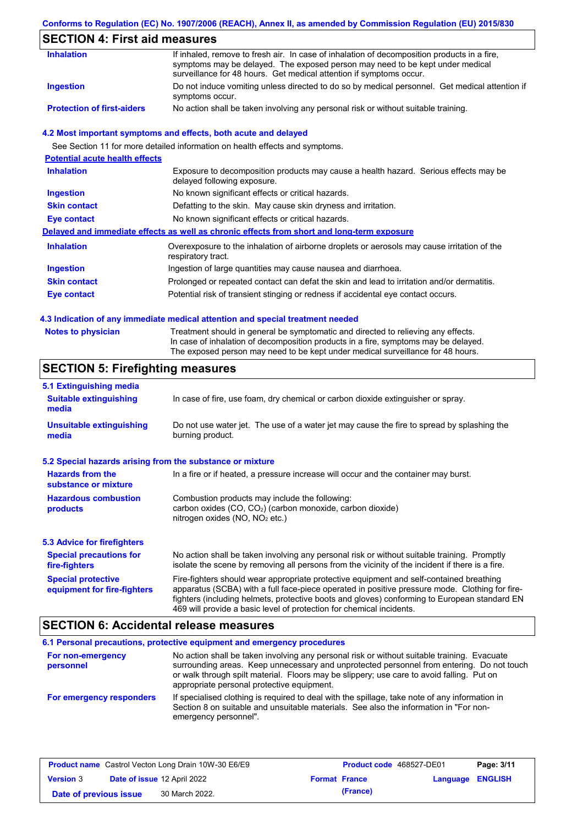## **Conforms to Regulation (EC) No. 1907/2006 (REACH), Annex II, as amended by Commission Regulation (EU) 2015/830**

# **SECTION 4: First aid measures**

| <b>Inhalation</b>                 | If inhaled, remove to fresh air. In case of inhalation of decomposition products in a fire,<br>symptoms may be delayed. The exposed person may need to be kept under medical<br>surveillance for 48 hours. Get medical attention if symptoms occur. |
|-----------------------------------|-----------------------------------------------------------------------------------------------------------------------------------------------------------------------------------------------------------------------------------------------------|
| Ingestion                         | Do not induce vomiting unless directed to do so by medical personnel. Get medical attention if<br>symptoms occur.                                                                                                                                   |
| <b>Protection of first-aiders</b> | No action shall be taken involving any personal risk or without suitable training.                                                                                                                                                                  |

## **4.2 Most important symptoms and effects, both acute and delayed**

See Section 11 for more detailed information on health effects and symptoms.

| <b>Potential acute health effects</b> |                                                                                                                     |
|---------------------------------------|---------------------------------------------------------------------------------------------------------------------|
| <b>Inhalation</b>                     | Exposure to decomposition products may cause a health hazard. Serious effects may be<br>delayed following exposure. |
| <b>Ingestion</b>                      | No known significant effects or critical hazards.                                                                   |
| <b>Skin contact</b>                   | Defatting to the skin. May cause skin dryness and irritation.                                                       |
| Eye contact                           | No known significant effects or critical hazards.                                                                   |
|                                       | Delayed and immediate effects as well as chronic effects from short and long-term exposure                          |
| <b>Inhalation</b>                     | Overexposure to the inhalation of airborne droplets or aerosols may cause irritation of the<br>respiratory tract.   |
| <b>Ingestion</b>                      | Ingestion of large quantities may cause nausea and diarrhoea.                                                       |
| <b>Skin contact</b>                   | Prolonged or repeated contact can defat the skin and lead to irritation and/or dermatitis.                          |
| Eye contact                           | Potential risk of transient stinging or redness if accidental eye contact occurs.                                   |
|                                       |                                                                                                                     |

## **4.3 Indication of any immediate medical attention and special treatment needed**

| <b>Notes to physician</b> | Treatment should in general be symptomatic and directed to relieving any effects.<br>In case of inhalation of decomposition products in a fire, symptoms may be delayed. |
|---------------------------|--------------------------------------------------------------------------------------------------------------------------------------------------------------------------|
|                           | The exposed person may need to be kept under medical surveillance for 48 hours.                                                                                          |

# **SECTION 5: Firefighting measures**

| 5.1 Extinguishing media                                   |                                                                                                                                                                                                                                                                                                                                                                   |
|-----------------------------------------------------------|-------------------------------------------------------------------------------------------------------------------------------------------------------------------------------------------------------------------------------------------------------------------------------------------------------------------------------------------------------------------|
| <b>Suitable extinguishing</b><br>media                    | In case of fire, use foam, dry chemical or carbon dioxide extinguisher or spray.                                                                                                                                                                                                                                                                                  |
| <b>Unsuitable extinguishing</b><br>media                  | Do not use water jet. The use of a water jet may cause the fire to spread by splashing the<br>burning product.                                                                                                                                                                                                                                                    |
| 5.2 Special hazards arising from the substance or mixture |                                                                                                                                                                                                                                                                                                                                                                   |
| <b>Hazards from the</b><br>substance or mixture           | In a fire or if heated, a pressure increase will occur and the container may burst.                                                                                                                                                                                                                                                                               |
| <b>Hazardous combustion</b><br>products                   | Combustion products may include the following:<br>carbon oxides (CO, CO <sub>2</sub> ) (carbon monoxide, carbon dioxide)<br>nitrogen oxides ( $NO$ , $NO2$ etc.)                                                                                                                                                                                                  |
| 5.3 Advice for firefighters                               |                                                                                                                                                                                                                                                                                                                                                                   |
| <b>Special precautions for</b><br>fire-fighters           | No action shall be taken involving any personal risk or without suitable training. Promptly<br>isolate the scene by removing all persons from the vicinity of the incident if there is a fire.                                                                                                                                                                    |
| <b>Special protective</b><br>equipment for fire-fighters  | Fire-fighters should wear appropriate protective equipment and self-contained breathing<br>apparatus (SCBA) with a full face-piece operated in positive pressure mode. Clothing for fire-<br>fighters (including helmets, protective boots and gloves) conforming to European standard EN<br>469 will provide a basic level of protection for chemical incidents. |

## **SECTION 6: Accidental release measures**

|                                | 6.1 Personal precautions, protective equipment and emergency procedures                                                                                                                                                                                                                                                             |  |  |  |
|--------------------------------|-------------------------------------------------------------------------------------------------------------------------------------------------------------------------------------------------------------------------------------------------------------------------------------------------------------------------------------|--|--|--|
| For non-emergency<br>personnel | No action shall be taken involving any personal risk or without suitable training. Evacuate<br>surrounding areas. Keep unnecessary and unprotected personnel from entering. Do not touch<br>or walk through spilt material. Floors may be slippery; use care to avoid falling. Put on<br>appropriate personal protective equipment. |  |  |  |
| For emergency responders       | If specialised clothing is required to deal with the spillage, take note of any information in<br>Section 8 on suitable and unsuitable materials. See also the information in "For non-<br>emergency personnel".                                                                                                                    |  |  |  |

| <b>Product name</b> Castrol Vecton Long Drain 10W-30 E6/E9 |  | Product code 468527-DE01           |                      | Page: 3/11 |                  |  |
|------------------------------------------------------------|--|------------------------------------|----------------------|------------|------------------|--|
| <b>Version 3</b>                                           |  | <b>Date of issue 12 April 2022</b> | <b>Format France</b> |            | Language ENGLISH |  |
| Date of previous issue                                     |  | 30 March 2022.                     |                      | (France)   |                  |  |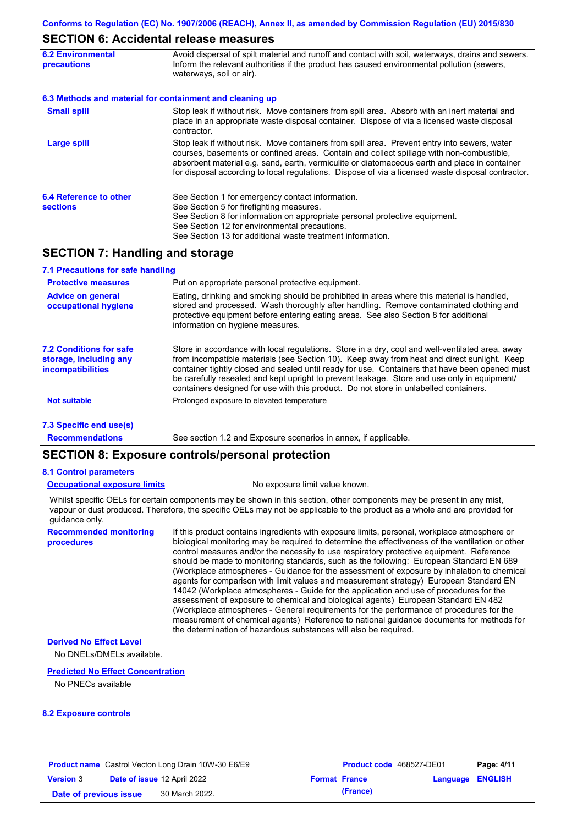## **SECTION 6: Accidental release measures**

| <b>6.2 Environmental</b><br><b>precautions</b> | Avoid dispersal of spilt material and runoff and contact with soil, waterways, drains and sewers.<br>Inform the relevant authorities if the product has caused environmental pollution (sewers,<br>waterways, soil or air).                                                                                                                                                                    |
|------------------------------------------------|------------------------------------------------------------------------------------------------------------------------------------------------------------------------------------------------------------------------------------------------------------------------------------------------------------------------------------------------------------------------------------------------|
|                                                | 6.3 Methods and material for containment and cleaning up                                                                                                                                                                                                                                                                                                                                       |
| <b>Small spill</b>                             | Stop leak if without risk. Move containers from spill area. Absorb with an inert material and<br>place in an appropriate waste disposal container. Dispose of via a licensed waste disposal<br>contractor.                                                                                                                                                                                     |
| Large spill                                    | Stop leak if without risk. Move containers from spill area. Prevent entry into sewers, water<br>courses, basements or confined areas. Contain and collect spillage with non-combustible,<br>absorbent material e.g. sand, earth, vermiculite or diatomaceous earth and place in container<br>for disposal according to local regulations. Dispose of via a licensed waste disposal contractor. |
| 6.4 Reference to other<br><b>sections</b>      | See Section 1 for emergency contact information.<br>See Section 5 for firefighting measures.<br>See Section 8 for information on appropriate personal protective equipment.<br>See Section 12 for environmental precautions.<br>See Section 13 for additional waste treatment information.                                                                                                     |

# **SECTION 7: Handling and storage**

| 7.1 Precautions for safe handling                                                    |                                                                                                                                                                                                                                                                                                                                                                                                                                                                                          |
|--------------------------------------------------------------------------------------|------------------------------------------------------------------------------------------------------------------------------------------------------------------------------------------------------------------------------------------------------------------------------------------------------------------------------------------------------------------------------------------------------------------------------------------------------------------------------------------|
| <b>Protective measures</b>                                                           | Put on appropriate personal protective equipment.                                                                                                                                                                                                                                                                                                                                                                                                                                        |
| <b>Advice on general</b><br>occupational hygiene                                     | Eating, drinking and smoking should be prohibited in areas where this material is handled,<br>stored and processed. Wash thoroughly after handling. Remove contaminated clothing and<br>protective equipment before entering eating areas. See also Section 8 for additional<br>information on hygiene measures.                                                                                                                                                                         |
| <b>7.2 Conditions for safe</b><br>storage, including any<br><i>incompatibilities</i> | Store in accordance with local requlations. Store in a dry, cool and well-ventilated area, away<br>from incompatible materials (see Section 10). Keep away from heat and direct sunlight. Keep<br>container tightly closed and sealed until ready for use. Containers that have been opened must<br>be carefully resealed and kept upright to prevent leakage. Store and use only in equipment/<br>containers designed for use with this product. Do not store in unlabelled containers. |
| <b>Not suitable</b>                                                                  | Prolonged exposure to elevated temperature                                                                                                                                                                                                                                                                                                                                                                                                                                               |
| 7.3 Specific end use(s)                                                              |                                                                                                                                                                                                                                                                                                                                                                                                                                                                                          |
| <b>Recommendations</b>                                                               | See section 1.2 and Exposure scenarios in annex, if applicable.                                                                                                                                                                                                                                                                                                                                                                                                                          |

# **SECTION 8: Exposure controls/personal protection**

### **8.1 Control parameters**

### **Occupational exposure limits** No exposure limit value known.

Whilst specific OELs for certain components may be shown in this section, other components may be present in any mist, vapour or dust produced. Therefore, the specific OELs may not be applicable to the product as a whole and are provided for guidance only.

**Recommended monitoring procedures**

If this product contains ingredients with exposure limits, personal, workplace atmosphere or biological monitoring may be required to determine the effectiveness of the ventilation or other control measures and/or the necessity to use respiratory protective equipment. Reference should be made to monitoring standards, such as the following: European Standard EN 689 (Workplace atmospheres - Guidance for the assessment of exposure by inhalation to chemical agents for comparison with limit values and measurement strategy) European Standard EN 14042 (Workplace atmospheres - Guide for the application and use of procedures for the assessment of exposure to chemical and biological agents) European Standard EN 482 (Workplace atmospheres - General requirements for the performance of procedures for the measurement of chemical agents) Reference to national guidance documents for methods for the determination of hazardous substances will also be required.

### **Derived No Effect Level**

No DNELs/DMELs available.

#### **Predicted No Effect Concentration**

No PNECs available

#### **8.2 Exposure controls**

|                        | <b>Product name</b> Castrol Vecton Long Drain 10W-30 E6/E9 | <b>Product code</b> 468527-DE01 |                  | Page: 4/11 |
|------------------------|------------------------------------------------------------|---------------------------------|------------------|------------|
| <b>Version 3</b>       | <b>Date of issue 12 April 2022</b>                         | <b>Format France</b>            | Language ENGLISH |            |
| Date of previous issue | 30 March 2022.                                             | (France)                        |                  |            |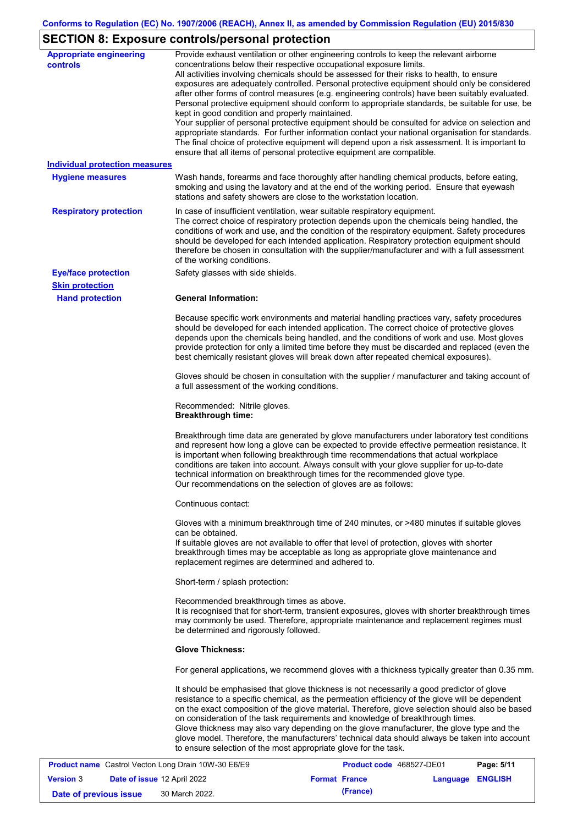# **SECTION 8: Exposure controls/personal protection**

| <b>Appropriate engineering</b><br>controls | Provide exhaust ventilation or other engineering controls to keep the relevant airborne<br>concentrations below their respective occupational exposure limits.<br>All activities involving chemicals should be assessed for their risks to health, to ensure<br>exposures are adequately controlled. Personal protective equipment should only be considered<br>after other forms of control measures (e.g. engineering controls) have been suitably evaluated.<br>Personal protective equipment should conform to appropriate standards, be suitable for use, be<br>kept in good condition and properly maintained.<br>Your supplier of personal protective equipment should be consulted for advice on selection and<br>appropriate standards. For further information contact your national organisation for standards.<br>The final choice of protective equipment will depend upon a risk assessment. It is important to<br>ensure that all items of personal protective equipment are compatible. |
|--------------------------------------------|---------------------------------------------------------------------------------------------------------------------------------------------------------------------------------------------------------------------------------------------------------------------------------------------------------------------------------------------------------------------------------------------------------------------------------------------------------------------------------------------------------------------------------------------------------------------------------------------------------------------------------------------------------------------------------------------------------------------------------------------------------------------------------------------------------------------------------------------------------------------------------------------------------------------------------------------------------------------------------------------------------|
| <b>Individual protection measures</b>      |                                                                                                                                                                                                                                                                                                                                                                                                                                                                                                                                                                                                                                                                                                                                                                                                                                                                                                                                                                                                         |
| <b>Hygiene measures</b>                    | Wash hands, forearms and face thoroughly after handling chemical products, before eating,<br>smoking and using the lavatory and at the end of the working period. Ensure that eyewash<br>stations and safety showers are close to the workstation location.                                                                                                                                                                                                                                                                                                                                                                                                                                                                                                                                                                                                                                                                                                                                             |
| <b>Respiratory protection</b>              | In case of insufficient ventilation, wear suitable respiratory equipment.<br>The correct choice of respiratory protection depends upon the chemicals being handled, the<br>conditions of work and use, and the condition of the respiratory equipment. Safety procedures<br>should be developed for each intended application. Respiratory protection equipment should<br>therefore be chosen in consultation with the supplier/manufacturer and with a full assessment<br>of the working conditions.                                                                                                                                                                                                                                                                                                                                                                                                                                                                                                   |
| <b>Eye/face protection</b>                 | Safety glasses with side shields.                                                                                                                                                                                                                                                                                                                                                                                                                                                                                                                                                                                                                                                                                                                                                                                                                                                                                                                                                                       |
| <b>Skin protection</b>                     |                                                                                                                                                                                                                                                                                                                                                                                                                                                                                                                                                                                                                                                                                                                                                                                                                                                                                                                                                                                                         |
| <b>Hand protection</b>                     | <b>General Information:</b>                                                                                                                                                                                                                                                                                                                                                                                                                                                                                                                                                                                                                                                                                                                                                                                                                                                                                                                                                                             |
|                                            | Because specific work environments and material handling practices vary, safety procedures<br>should be developed for each intended application. The correct choice of protective gloves<br>depends upon the chemicals being handled, and the conditions of work and use. Most gloves<br>provide protection for only a limited time before they must be discarded and replaced (even the<br>best chemically resistant gloves will break down after repeated chemical exposures).                                                                                                                                                                                                                                                                                                                                                                                                                                                                                                                        |
|                                            | Gloves should be chosen in consultation with the supplier / manufacturer and taking account of<br>a full assessment of the working conditions.                                                                                                                                                                                                                                                                                                                                                                                                                                                                                                                                                                                                                                                                                                                                                                                                                                                          |
|                                            | Recommended: Nitrile gloves.<br><b>Breakthrough time:</b>                                                                                                                                                                                                                                                                                                                                                                                                                                                                                                                                                                                                                                                                                                                                                                                                                                                                                                                                               |
|                                            | Breakthrough time data are generated by glove manufacturers under laboratory test conditions<br>and represent how long a glove can be expected to provide effective permeation resistance. It<br>is important when following breakthrough time recommendations that actual workplace<br>conditions are taken into account. Always consult with your glove supplier for up-to-date<br>technical information on breakthrough times for the recommended glove type.<br>Our recommendations on the selection of gloves are as follows:                                                                                                                                                                                                                                                                                                                                                                                                                                                                      |
|                                            | Continuous contact:                                                                                                                                                                                                                                                                                                                                                                                                                                                                                                                                                                                                                                                                                                                                                                                                                                                                                                                                                                                     |
|                                            | Gloves with a minimum breakthrough time of 240 minutes, or >480 minutes if suitable gloves<br>can be obtained.<br>If suitable gloves are not available to offer that level of protection, gloves with shorter<br>breakthrough times may be acceptable as long as appropriate glove maintenance and<br>replacement regimes are determined and adhered to.                                                                                                                                                                                                                                                                                                                                                                                                                                                                                                                                                                                                                                                |
|                                            | Short-term / splash protection:                                                                                                                                                                                                                                                                                                                                                                                                                                                                                                                                                                                                                                                                                                                                                                                                                                                                                                                                                                         |
|                                            | Recommended breakthrough times as above.<br>It is recognised that for short-term, transient exposures, gloves with shorter breakthrough times<br>may commonly be used. Therefore, appropriate maintenance and replacement regimes must<br>be determined and rigorously followed.                                                                                                                                                                                                                                                                                                                                                                                                                                                                                                                                                                                                                                                                                                                        |
|                                            | <b>Glove Thickness:</b>                                                                                                                                                                                                                                                                                                                                                                                                                                                                                                                                                                                                                                                                                                                                                                                                                                                                                                                                                                                 |
|                                            | For general applications, we recommend gloves with a thickness typically greater than 0.35 mm.                                                                                                                                                                                                                                                                                                                                                                                                                                                                                                                                                                                                                                                                                                                                                                                                                                                                                                          |
|                                            | It should be emphasised that glove thickness is not necessarily a good predictor of glove<br>resistance to a specific chemical, as the permeation efficiency of the glove will be dependent<br>on the exact composition of the glove material. Therefore, glove selection should also be based<br>on consideration of the task requirements and knowledge of breakthrough times.<br>Glove thickness may also vary depending on the glove manufacturer, the glove type and the<br>glove model. Therefore, the manufacturers' technical data should always be taken into account<br>to ensure selection of the most appropriate glove for the task.                                                                                                                                                                                                                                                                                                                                                       |

|                        | <b>Product name</b> Castrol Vecton Long Drain 10W-30 E6/E9 |                      | <b>Product code</b> 468527-DE01 |                         | Page: 5/11 |
|------------------------|------------------------------------------------------------|----------------------|---------------------------------|-------------------------|------------|
| <b>Version 3</b>       | <b>Date of issue 12 April 2022</b>                         | <b>Format France</b> |                                 | <b>Language ENGLISH</b> |            |
| Date of previous issue | 30 March 2022.                                             |                      | (France)                        |                         |            |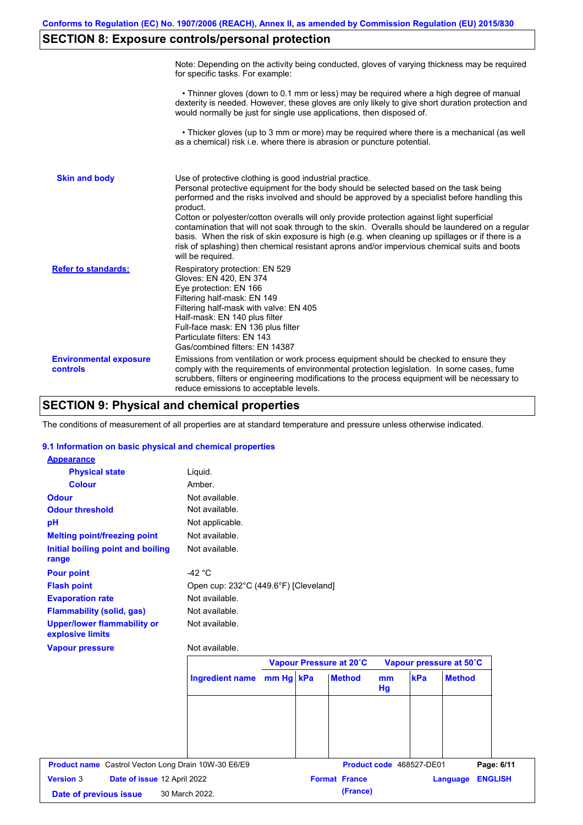# **SECTION 8: Exposure controls/personal protection**

|                                           | Note: Depending on the activity being conducted, gloves of varying thickness may be required<br>for specific tasks. For example:                                                                                                                                                                                                                                                                                                                                                                                                                                                                                                                                                      |
|-------------------------------------------|---------------------------------------------------------------------------------------------------------------------------------------------------------------------------------------------------------------------------------------------------------------------------------------------------------------------------------------------------------------------------------------------------------------------------------------------------------------------------------------------------------------------------------------------------------------------------------------------------------------------------------------------------------------------------------------|
|                                           | • Thinner gloves (down to 0.1 mm or less) may be required where a high degree of manual<br>dexterity is needed. However, these gloves are only likely to give short duration protection and<br>would normally be just for single use applications, then disposed of.                                                                                                                                                                                                                                                                                                                                                                                                                  |
|                                           | • Thicker gloves (up to 3 mm or more) may be required where there is a mechanical (as well<br>as a chemical) risk i.e. where there is abrasion or puncture potential.                                                                                                                                                                                                                                                                                                                                                                                                                                                                                                                 |
| <b>Skin and body</b>                      | Use of protective clothing is good industrial practice.<br>Personal protective equipment for the body should be selected based on the task being<br>performed and the risks involved and should be approved by a specialist before handling this<br>product.<br>Cotton or polyester/cotton overalls will only provide protection against light superficial<br>contamination that will not soak through to the skin. Overalls should be laundered on a regular<br>basis. When the risk of skin exposure is high (e.g. when cleaning up spillages or if there is a<br>risk of splashing) then chemical resistant aprons and/or impervious chemical suits and boots<br>will be required. |
| <b>Refer to standards:</b>                | Respiratory protection: EN 529<br>Gloves: EN 420, EN 374<br>Eye protection: EN 166<br>Filtering half-mask: EN 149<br>Filtering half-mask with valve: EN 405<br>Half-mask: EN 140 plus filter<br>Full-face mask: EN 136 plus filter<br>Particulate filters: EN 143<br>Gas/combined filters: EN 14387                                                                                                                                                                                                                                                                                                                                                                                   |
| <b>Environmental exposure</b><br>controls | Emissions from ventilation or work process equipment should be checked to ensure they<br>comply with the requirements of environmental protection legislation. In some cases, fume<br>scrubbers, filters or engineering modifications to the process equipment will be necessary to<br>reduce emissions to acceptable levels.                                                                                                                                                                                                                                                                                                                                                         |

# **SECTION 9: Physical and chemical properties**

The conditions of measurement of all properties are at standard temperature and pressure unless otherwise indicated.

## **9.1 Information on basic physical and chemical properties**

| <b>Appearance</b>                                      |                                       |           |                         |          |                          |                            |  |
|--------------------------------------------------------|---------------------------------------|-----------|-------------------------|----------|--------------------------|----------------------------|--|
| <b>Physical state</b>                                  | Liquid.                               |           |                         |          |                          |                            |  |
| <b>Colour</b>                                          | Amber.                                |           |                         |          |                          |                            |  |
| <b>Odour</b>                                           | Not available.                        |           |                         |          |                          |                            |  |
| <b>Odour threshold</b>                                 | Not available.                        |           |                         |          |                          |                            |  |
| pH                                                     | Not applicable.                       |           |                         |          |                          |                            |  |
| <b>Melting point/freezing point</b>                    | Not available.                        |           |                         |          |                          |                            |  |
| <b>Initial boiling point and boiling</b><br>range      | Not available.                        |           |                         |          |                          |                            |  |
| <b>Pour point</b>                                      | -42 $\degree$ C                       |           |                         |          |                          |                            |  |
| <b>Flash point</b>                                     | Open cup: 232°C (449.6°F) [Cleveland] |           |                         |          |                          |                            |  |
| <b>Evaporation rate</b>                                | Not available.                        |           |                         |          |                          |                            |  |
| <b>Flammability (solid, gas)</b>                       | Not available.                        |           |                         |          |                          |                            |  |
| <b>Upper/lower flammability or</b><br>explosive limits | Not available.                        |           |                         |          |                          |                            |  |
| <b>Vapour pressure</b>                                 | Not available.                        |           |                         |          |                          |                            |  |
|                                                        |                                       |           | Vapour Pressure at 20°C |          |                          | Vapour pressure at 50°C    |  |
|                                                        | <b>Ingredient name</b>                | mm Hg kPa | <b>Method</b>           | mm<br>Hg | kPa                      | <b>Method</b>              |  |
|                                                        |                                       |           |                         |          |                          |                            |  |
|                                                        |                                       |           |                         |          |                          |                            |  |
|                                                        |                                       |           |                         |          |                          |                            |  |
|                                                        |                                       |           |                         |          |                          |                            |  |
|                                                        |                                       |           |                         |          | Product code 468527-DE01 |                            |  |
| Product name Castrol Vecton Long Drain 10W-30 E6/E9    |                                       |           |                         |          |                          | Page: 6/11                 |  |
| <b>Version 3</b><br>Date of issue 12 April 2022        |                                       |           | <b>Format France</b>    |          |                          | <b>ENGLISH</b><br>Language |  |
| Date of previous issue                                 | 30 March 2022.                        |           | (France)                |          |                          |                            |  |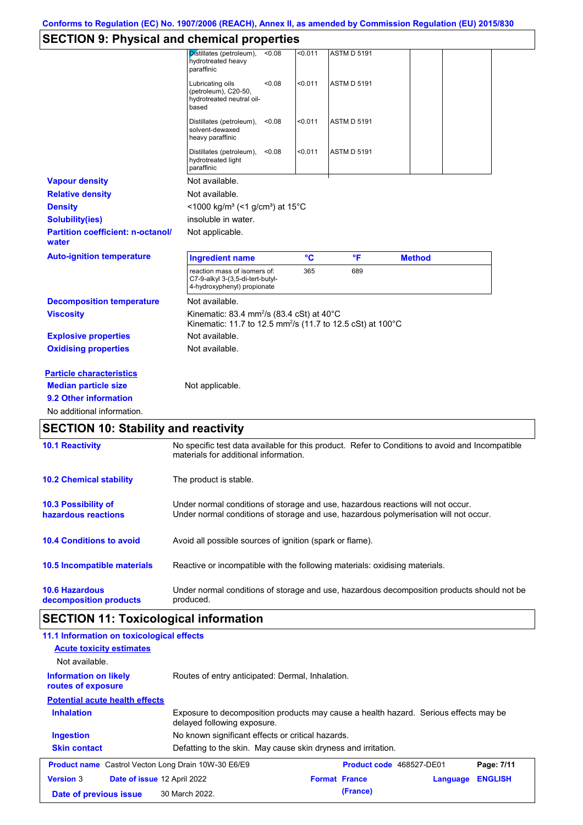# **SECTION 9: Physical and chemical properties**

| OLOTION 9. I HYSICAI ANG CHENNCAI PIOPERIES       |                                                                                                                                                                         |         |                    |               |  |
|---------------------------------------------------|-------------------------------------------------------------------------------------------------------------------------------------------------------------------------|---------|--------------------|---------------|--|
|                                                   | Distillates (petroleum),<br>< 0.08<br>hydrotreated heavy<br>paraffinic                                                                                                  | <0.011  | <b>ASTM D 5191</b> |               |  |
|                                                   | Lubricating oils<br>< 0.08<br>(petroleum), C20-50,<br>hydrotreated neutral oil-<br>based                                                                                | $0.011$ | <b>ASTM D 5191</b> |               |  |
|                                                   | Distillates (petroleum),<br>< 0.08<br>solvent-dewaxed<br>heavy paraffinic                                                                                               | < 0.011 | <b>ASTM D 5191</b> |               |  |
|                                                   | Distillates (petroleum),<br>< 0.08<br>hydrotreated light<br>paraffinic                                                                                                  | $0.011$ | <b>ASTM D 5191</b> |               |  |
| <b>Vapour density</b>                             | Not available.                                                                                                                                                          |         |                    |               |  |
| <b>Relative density</b>                           | Not available.                                                                                                                                                          |         |                    |               |  |
| <b>Density</b>                                    | <1000 kg/m <sup>3</sup> (<1 g/cm <sup>3</sup> ) at 15°C                                                                                                                 |         |                    |               |  |
| <b>Solubility(ies)</b>                            | insoluble in water.                                                                                                                                                     |         |                    |               |  |
| <b>Partition coefficient: n-octanol/</b><br>water | Not applicable.                                                                                                                                                         |         |                    |               |  |
| <b>Auto-ignition temperature</b>                  | <b>Ingredient name</b>                                                                                                                                                  | °C      | °F                 | <b>Method</b> |  |
|                                                   | reaction mass of isomers of:<br>C7-9-alkyl 3-(3,5-di-tert-butyl-<br>4-hydroxyphenyl) propionate                                                                         | 365     | 689                |               |  |
| <b>Decomposition temperature</b>                  | Not available.                                                                                                                                                          |         |                    |               |  |
| <b>Viscosity</b>                                  | Kinematic: 83.4 mm <sup>2</sup> /s (83.4 cSt) at 40 $^{\circ}$ C<br>Kinematic: 11.7 to 12.5 mm <sup>2</sup> /s (11.7 to 12.5 cSt) at 100°C                              |         |                    |               |  |
| <b>Explosive properties</b>                       | Not available.                                                                                                                                                          |         |                    |               |  |
| <b>Oxidising properties</b>                       | Not available.                                                                                                                                                          |         |                    |               |  |
| <b>Particle characteristics</b>                   |                                                                                                                                                                         |         |                    |               |  |
| <b>Median particle size</b>                       | Not applicable.                                                                                                                                                         |         |                    |               |  |
| 9.2 Other information                             |                                                                                                                                                                         |         |                    |               |  |
| No additional information.                        |                                                                                                                                                                         |         |                    |               |  |
| <b>SECTION 10: Stability and reactivity</b>       |                                                                                                                                                                         |         |                    |               |  |
| <b>10.1 Reactivity</b>                            | No specific test data available for this product. Refer to Conditions to avoid and Incompatible<br>materials for additional information.                                |         |                    |               |  |
| <b>10.2 Chemical stability</b>                    | The product is stable.                                                                                                                                                  |         |                    |               |  |
| 10.3 Possibility of<br>hazardous reactions        | Under normal conditions of storage and use, hazardous reactions will not occur.<br>Under normal conditions of storage and use, hazardous polymerisation will not occur. |         |                    |               |  |
| <b>10.4 Conditions to avoid</b>                   | Avoid all possible sources of ignition (spark or flame).                                                                                                                |         |                    |               |  |
| 10.5 Incompatible materials                       | Reactive or incompatible with the following materials: oxidising materials.                                                                                             |         |                    |               |  |
| <b>10.6 Hazardous</b>                             | Under normal conditions of storage and use, hazardous decomposition products should not be                                                                              |         |                    |               |  |

**decomposition products** produced.

# **SECTION 11: Toxicological information**

| 11.1 Information on toxicological effects                  |                                                                                                                     |                          |          |                |
|------------------------------------------------------------|---------------------------------------------------------------------------------------------------------------------|--------------------------|----------|----------------|
| <b>Acute toxicity estimates</b>                            |                                                                                                                     |                          |          |                |
| Not available.                                             |                                                                                                                     |                          |          |                |
| <b>Information on likely</b><br>routes of exposure         | Routes of entry anticipated: Dermal, Inhalation.                                                                    |                          |          |                |
| <b>Potential acute health effects</b>                      |                                                                                                                     |                          |          |                |
| <b>Inhalation</b>                                          | Exposure to decomposition products may cause a health hazard. Serious effects may be<br>delayed following exposure. |                          |          |                |
| <b>Ingestion</b>                                           | No known significant effects or critical hazards.                                                                   |                          |          |                |
| <b>Skin contact</b>                                        | Defatting to the skin. May cause skin dryness and irritation.                                                       |                          |          |                |
| <b>Product name</b> Castrol Vecton Long Drain 10W-30 E6/E9 |                                                                                                                     | Product code 468527-DE01 |          | Page: 7/11     |
| <b>Version 3</b><br><b>Date of issue 12 April 2022</b>     |                                                                                                                     | <b>Format France</b>     | Language | <b>ENGLISH</b> |
| Date of previous issue                                     | 30 March 2022.                                                                                                      | (France)                 |          |                |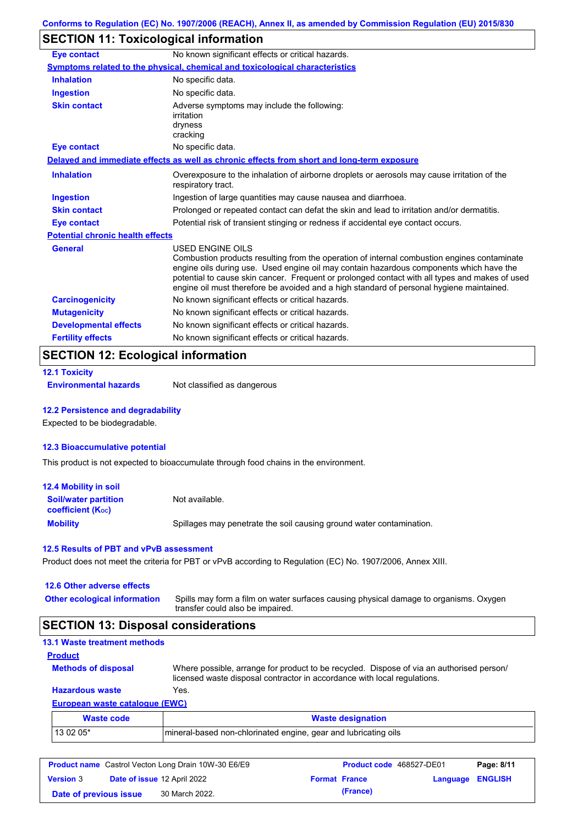# **SECTION 11: Toxicological information**

| Eye contact                             | No known significant effects or critical hazards.                                                                                                                                                                                                                                                                                                                                                               |
|-----------------------------------------|-----------------------------------------------------------------------------------------------------------------------------------------------------------------------------------------------------------------------------------------------------------------------------------------------------------------------------------------------------------------------------------------------------------------|
|                                         | <b>Symptoms related to the physical, chemical and toxicological characteristics</b>                                                                                                                                                                                                                                                                                                                             |
| <b>Inhalation</b>                       | No specific data.                                                                                                                                                                                                                                                                                                                                                                                               |
| <b>Ingestion</b>                        | No specific data.                                                                                                                                                                                                                                                                                                                                                                                               |
| <b>Skin contact</b>                     | Adverse symptoms may include the following:<br>irritation<br>dryness<br>cracking                                                                                                                                                                                                                                                                                                                                |
| <b>Eye contact</b>                      | No specific data.                                                                                                                                                                                                                                                                                                                                                                                               |
|                                         | Delayed and immediate effects as well as chronic effects from short and long-term exposure                                                                                                                                                                                                                                                                                                                      |
| <b>Inhalation</b>                       | Overexposure to the inhalation of airborne droplets or aerosols may cause irritation of the<br>respiratory tract.                                                                                                                                                                                                                                                                                               |
| <b>Ingestion</b>                        | Ingestion of large quantities may cause nausea and diarrhoea.                                                                                                                                                                                                                                                                                                                                                   |
| <b>Skin contact</b>                     | Prolonged or repeated contact can defat the skin and lead to irritation and/or dermatitis.                                                                                                                                                                                                                                                                                                                      |
| <b>Eye contact</b>                      | Potential risk of transient stinging or redness if accidental eye contact occurs.                                                                                                                                                                                                                                                                                                                               |
| <b>Potential chronic health effects</b> |                                                                                                                                                                                                                                                                                                                                                                                                                 |
| <b>General</b>                          | <b>USED ENGINE OILS</b><br>Combustion products resulting from the operation of internal combustion engines contaminate<br>engine oils during use. Used engine oil may contain hazardous components which have the<br>potential to cause skin cancer. Frequent or prolonged contact with all types and makes of used<br>engine oil must therefore be avoided and a high standard of personal hygiene maintained. |
| <b>Carcinogenicity</b>                  | No known significant effects or critical hazards.                                                                                                                                                                                                                                                                                                                                                               |
| <b>Mutagenicity</b>                     | No known significant effects or critical hazards.                                                                                                                                                                                                                                                                                                                                                               |
| <b>Developmental effects</b>            | No known significant effects or critical hazards.                                                                                                                                                                                                                                                                                                                                                               |
| <b>Fertility effects</b>                | No known significant effects or critical hazards.                                                                                                                                                                                                                                                                                                                                                               |

# **SECTION 12: Ecological information**

```
12.1 Toxicity
```
**Environmental hazards** Not classified as dangerous

## **12.2 Persistence and degradability**

Expected to be biodegradable.

### **12.3 Bioaccumulative potential**

This product is not expected to bioaccumulate through food chains in the environment.

| <b>12.4 Mobility in soil</b>                                  |                                                                      |
|---------------------------------------------------------------|----------------------------------------------------------------------|
| <b>Soil/water partition</b><br>coefficient (K <sub>oc</sub> ) | Not available.                                                       |
| <b>Mobility</b>                                               | Spillages may penetrate the soil causing ground water contamination. |

## **12.5 Results of PBT and vPvB assessment**

Product does not meet the criteria for PBT or vPvB according to Regulation (EC) No. 1907/2006, Annex XIII.

## **12.6 Other adverse effects**

| Other ecological information Spills may form a film on water surfaces causing physical damage to organisms. Oxygen |
|--------------------------------------------------------------------------------------------------------------------|
| transfer could also be impaired.                                                                                   |

# **SECTION 13: Disposal considerations**

| <b>13.1 Waste treatment methods</b> |                                                                                                                                                                      |
|-------------------------------------|----------------------------------------------------------------------------------------------------------------------------------------------------------------------|
| <b>Product</b>                      |                                                                                                                                                                      |
| <b>Methods of disposal</b>          | Where possible, arrange for product to be recycled. Dispose of via an authorised person/<br>licensed waste disposal contractor in accordance with local regulations. |
| <b>Hazardous waste</b>              | Yes.                                                                                                                                                                 |
| European waste catalogue (EWC)      |                                                                                                                                                                      |
| <b>Waste code</b>                   | <b>Waste designation</b>                                                                                                                                             |

| waste code: | <b>waste designation</b>                                         |
|-------------|------------------------------------------------------------------|
| l 13 02 05* | Imineral-based non-chlorinated engine, gear and lubricating oils |

| <b>Product name</b> Castrol Vecton Long Drain 10W-30 E6/E9 |  | <b>Product code</b> 468527-DE01    |                      | Page: 8/11 |                  |  |
|------------------------------------------------------------|--|------------------------------------|----------------------|------------|------------------|--|
| <b>Version 3</b>                                           |  | <b>Date of issue 12 April 2022</b> | <b>Format France</b> |            | Language ENGLISH |  |
| Date of previous issue                                     |  | 30 March 2022.                     |                      | (France)   |                  |  |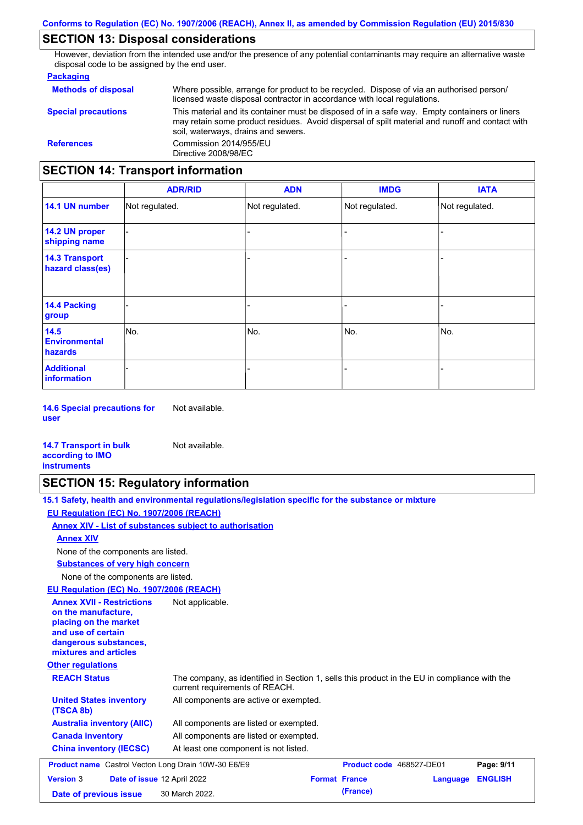# **SECTION 13: Disposal considerations**

However, deviation from the intended use and/or the presence of any potential contaminants may require an alternative waste disposal code to be assigned by the end user.

## **Packaging**

| <b>Methods of disposal</b>               | Where possible, arrange for product to be recycled. Dispose of via an authorised person/<br>licensed waste disposal contractor in accordance with local regulations.                                                                    |
|------------------------------------------|-----------------------------------------------------------------------------------------------------------------------------------------------------------------------------------------------------------------------------------------|
| <b>Special precautions</b>               | This material and its container must be disposed of in a safe way. Empty containers or liners<br>may retain some product residues. Avoid dispersal of spilt material and runoff and contact with<br>soil, waterways, drains and sewers. |
| <b>References</b>                        | Commission 2014/955/EU<br>Directive 2008/98/EC                                                                                                                                                                                          |
| <b>SECTION 14: Transport information</b> |                                                                                                                                                                                                                                         |

#### - - - - - - - - - Not regulated. Not regulated. Not regulated. - - - **ADR/RID IMDG IATA 14.1 UN number 14.2 UN proper shipping name 14.3 Transport hazard class(es) 14.4 Packing group ADN Additional information 14.5 Environmental hazards** No. 1980 | No. 1980 | No. 1980 | No. 1980 | No. 1980 | No. 1980 | No. 1980 | No. 1980 | No. 1980 | No. 1980 | Not regulated. - No. - -

**14.6 Special precautions for user** Not available.

### **14.7 Transport in bulk according to IMO instruments**

# **SECTION 15: Regulatory information**

Not available.

| 15.1 Safety, health and environmental regulations/legislation specific for the substance or mixture |  |
|-----------------------------------------------------------------------------------------------------|--|
| EU Regulation (EC) No. 1907/2006 (REACH)                                                            |  |
| Annex XIV - List of substances subject to authorisation                                             |  |
| <b>Annex XIV</b>                                                                                    |  |
| None of the components are listed.                                                                  |  |
| <b>Substances of very high concern</b>                                                              |  |
| None of the components are listed.                                                                  |  |

**EU Regulation (EC) No. 1907/2006 (REACH)**

| <u> 20 Russianus III - 1908 Russianus III - 1908 </u>                                                                                                    |                                                                                                                                |                          |          |                |
|----------------------------------------------------------------------------------------------------------------------------------------------------------|--------------------------------------------------------------------------------------------------------------------------------|--------------------------|----------|----------------|
| <b>Annex XVII - Restrictions</b><br>on the manufacture.<br>placing on the market<br>and use of certain<br>dangerous substances,<br>mixtures and articles | Not applicable.                                                                                                                |                          |          |                |
| <b>Other regulations</b>                                                                                                                                 |                                                                                                                                |                          |          |                |
| <b>REACH Status</b>                                                                                                                                      | The company, as identified in Section 1, sells this product in the EU in compliance with the<br>current requirements of REACH. |                          |          |                |
| <b>United States inventory</b><br>(TSCA 8b)                                                                                                              | All components are active or exempted.                                                                                         |                          |          |                |
| <b>Australia inventory (AIIC)</b>                                                                                                                        | All components are listed or exempted.                                                                                         |                          |          |                |
| <b>Canada inventory</b>                                                                                                                                  | All components are listed or exempted.                                                                                         |                          |          |                |
| <b>China inventory (IECSC)</b>                                                                                                                           | At least one component is not listed.                                                                                          |                          |          |                |
| <b>Product name</b> Castrol Vecton Long Drain 10W-30 E6/E9                                                                                               |                                                                                                                                | Product code 468527-DE01 |          | Page: 9/11     |
| <b>Version 3</b><br>Date of issue 12 April 2022                                                                                                          |                                                                                                                                | <b>Format France</b>     | Language | <b>ENGLISH</b> |
| Date of previous issue                                                                                                                                   | 30 March 2022.                                                                                                                 | (France)                 |          |                |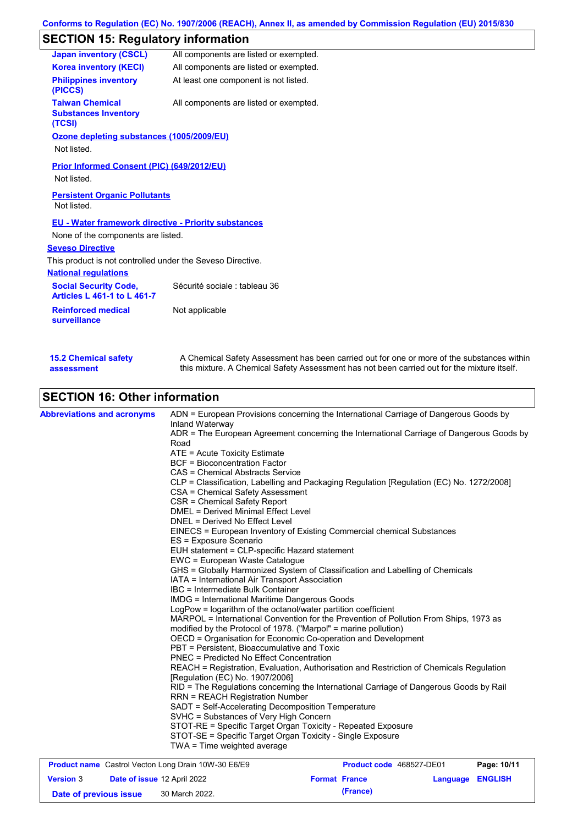# **SECTION 15: Regulatory information**

| <b>Japan inventory (CSCL)</b>                                   | All components are listed or exempted. |
|-----------------------------------------------------------------|----------------------------------------|
| <b>Korea inventory (KECI)</b>                                   | All components are listed or exempted. |
| <b>Philippines inventory</b><br>(PICCS)                         | At least one component is not listed.  |
| <b>Taiwan Chemical</b><br><b>Substances Inventory</b><br>(TCSI) | All components are listed or exempted. |
| Ozone depleting substances (1005/2009/EU)                       |                                        |
| Not listed.                                                     |                                        |
| Prior Informed Consent (PIC) (649/2012/EU)<br>Not listed.       |                                        |
| <b>Persistent Organic Pollutants</b><br>Not listed.             |                                        |
| <b>EU - Water framework directive - Priority substances</b>     |                                        |
| None of the components are listed.                              |                                        |
| <b>Seveso Directive</b>                                         |                                        |
| This product is not controlled under the Seveso Directive.      |                                        |
| <b>National regulations</b>                                     |                                        |
| <b>Social Security Code,</b><br>Articles L 461-1 to L 461-7     | Sécurité sociale : tableau 36          |
| <b>Reinforced medical</b><br>surveillance                       | Not applicable                         |
|                                                                 |                                        |

| <b>15.2 Chemical safety</b> | A Chemical Safety Assessment has been carried out for one or more of the substances within  |
|-----------------------------|---------------------------------------------------------------------------------------------|
| assessment                  | this mixture. A Chemical Safety Assessment has not been carried out for the mixture itself. |

# **SECTION 16: Other information**

| <b>Abbreviations and acronyms</b> | ADN = European Provisions concerning the International Carriage of Dangerous Goods by<br>Inland Waterway                   |
|-----------------------------------|----------------------------------------------------------------------------------------------------------------------------|
|                                   | ADR = The European Agreement concerning the International Carriage of Dangerous Goods by<br>Road                           |
|                                   | ATE = Acute Toxicity Estimate                                                                                              |
|                                   | <b>BCF</b> = Bioconcentration Factor                                                                                       |
|                                   | CAS = Chemical Abstracts Service                                                                                           |
|                                   | CLP = Classification, Labelling and Packaging Regulation [Regulation (EC) No. 1272/2008]                                   |
|                                   | CSA = Chemical Safety Assessment                                                                                           |
|                                   | CSR = Chemical Safety Report                                                                                               |
|                                   | <b>DMEL = Derived Minimal Effect Level</b>                                                                                 |
|                                   | DNEL = Derived No Effect Level                                                                                             |
|                                   | EINECS = European Inventory of Existing Commercial chemical Substances                                                     |
|                                   | ES = Exposure Scenario                                                                                                     |
|                                   | EUH statement = CLP-specific Hazard statement                                                                              |
|                                   | EWC = European Waste Catalogue                                                                                             |
|                                   | GHS = Globally Harmonized System of Classification and Labelling of Chemicals                                              |
|                                   | IATA = International Air Transport Association                                                                             |
|                                   | IBC = Intermediate Bulk Container                                                                                          |
|                                   | <b>IMDG</b> = International Maritime Dangerous Goods                                                                       |
|                                   | LogPow = logarithm of the octanol/water partition coefficient                                                              |
|                                   | MARPOL = International Convention for the Prevention of Pollution From Ships, 1973 as                                      |
|                                   | modified by the Protocol of 1978. ("Marpol" = marine pollution)                                                            |
|                                   | OECD = Organisation for Economic Co-operation and Development                                                              |
|                                   | PBT = Persistent, Bioaccumulative and Toxic                                                                                |
|                                   | PNEC = Predicted No Effect Concentration                                                                                   |
|                                   | REACH = Registration, Evaluation, Authorisation and Restriction of Chemicals Regulation<br>[Regulation (EC) No. 1907/2006] |
|                                   | RID = The Regulations concerning the International Carriage of Dangerous Goods by Rail                                     |
|                                   | <b>RRN = REACH Registration Number</b>                                                                                     |
|                                   | SADT = Self-Accelerating Decomposition Temperature                                                                         |
|                                   | SVHC = Substances of Very High Concern                                                                                     |
|                                   | STOT-RE = Specific Target Organ Toxicity - Repeated Exposure                                                               |
|                                   | STOT-SE = Specific Target Organ Toxicity - Single Exposure                                                                 |
|                                   | TWA = Time weighted average                                                                                                |
|                                   |                                                                                                                            |

| <b>Product name</b> Castrol Vecton Long Drain 10W-30 E6/E9 |  | <b>Product code</b> 468527-DE01    |                      | Page: 10/11 |                         |  |
|------------------------------------------------------------|--|------------------------------------|----------------------|-------------|-------------------------|--|
| <b>Version 3</b>                                           |  | <b>Date of issue 12 April 2022</b> | <b>Format France</b> |             | <b>Language ENGLISH</b> |  |
| Date of previous issue                                     |  | 30 March 2022.                     |                      | (France)    |                         |  |